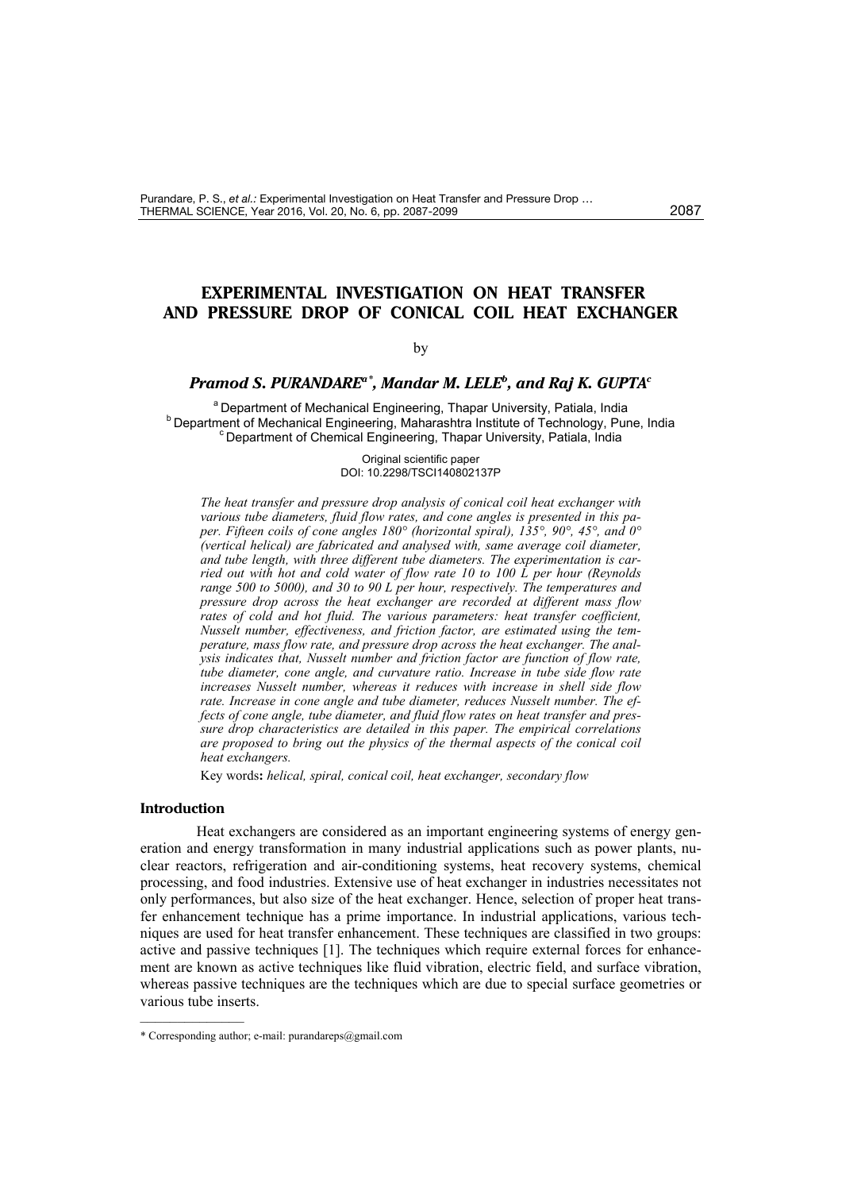# **EXPERIMENTAL INVESTIGATION ON HEAT TRANSFER AND PRESSURE DROP OF CONICAL COIL HEAT EXCHANGER**

### by

# *Pramod S. PURANDAREa[\\*](#page-0-0), Mandar M. LELE<sup>b</sup> , and Raj K. GUPTA<sup>c</sup>*

<sup>a</sup> Department of Mechanical Engineering, Thapar University, Patiala, India **b** Department of Mechanical Engineering, Maharashtra Institute of Technology, Pune, India <sup>c</sup> Department of Chemical Engineering, Thapar University, Patiala, India

> Original scientific paper DOI: 10.2298/TSCI140802137P

*The heat transfer and pressure drop analysis of conical coil heat exchanger with various tube diameters, fluid flow rates, and cone angles is presented in this paper. Fifteen coils of cone angles 180° (horizontal spiral), 135°, 90°, 45°, and 0° (vertical helical) are fabricated and analysed with, same average coil diameter, and tube length, with three different tube diameters. The experimentation is carried out with hot and cold water of flow rate 10 to 100 L per hour (Reynolds range 500 to 5000), and 30 to 90 L per hour, respectively. The temperatures and pressure drop across the heat exchanger are recorded at different mass flow rates of cold and hot fluid. The various parameters: heat transfer coefficient, Nusselt number, effectiveness, and friction factor, are estimated using the temperature, mass flow rate, and pressure drop across the heat exchanger. The analysis indicates that, Nusselt number and friction factor are function of flow rate, tube diameter, cone angle, and curvature ratio. Increase in tube side flow rate increases Nusselt number, whereas it reduces with increase in shell side flow rate. Increase in cone angle and tube diameter, reduces Nusselt number. The effects of cone angle, tube diameter, and fluid flow rates on heat transfer and pressure drop characteristics are detailed in this paper. The empirical correlations are proposed to bring out the physics of the thermal aspects of the conical coil heat exchangers.* 

Key words**:** *helical, spiral, conical coil, heat exchanger, secondary flow*

#### **Introduction**

––––––––––––––

Heat exchangers are considered as an important engineering systems of energy generation and energy transformation in many industrial applications such as power plants, nuclear reactors, refrigeration and air-conditioning systems, heat recovery systems, chemical processing, and food industries. Extensive use of heat exchanger in industries necessitates not only performances, but also size of the heat exchanger. Hence, selection of proper heat transfer enhancement technique has a prime importance. In industrial applications, various techniques are used for heat transfer enhancement. These techniques are classified in two groups: active and passive techniques [1]. The techniques which require external forces for enhancement are known as active techniques like fluid vibration, electric field, and surface vibration, whereas passive techniques are the techniques which are due to special surface geometries or various tube inserts.

<span id="page-0-0"></span><sup>\*</sup> Corresponding author; e-mail: purandareps@gmail.com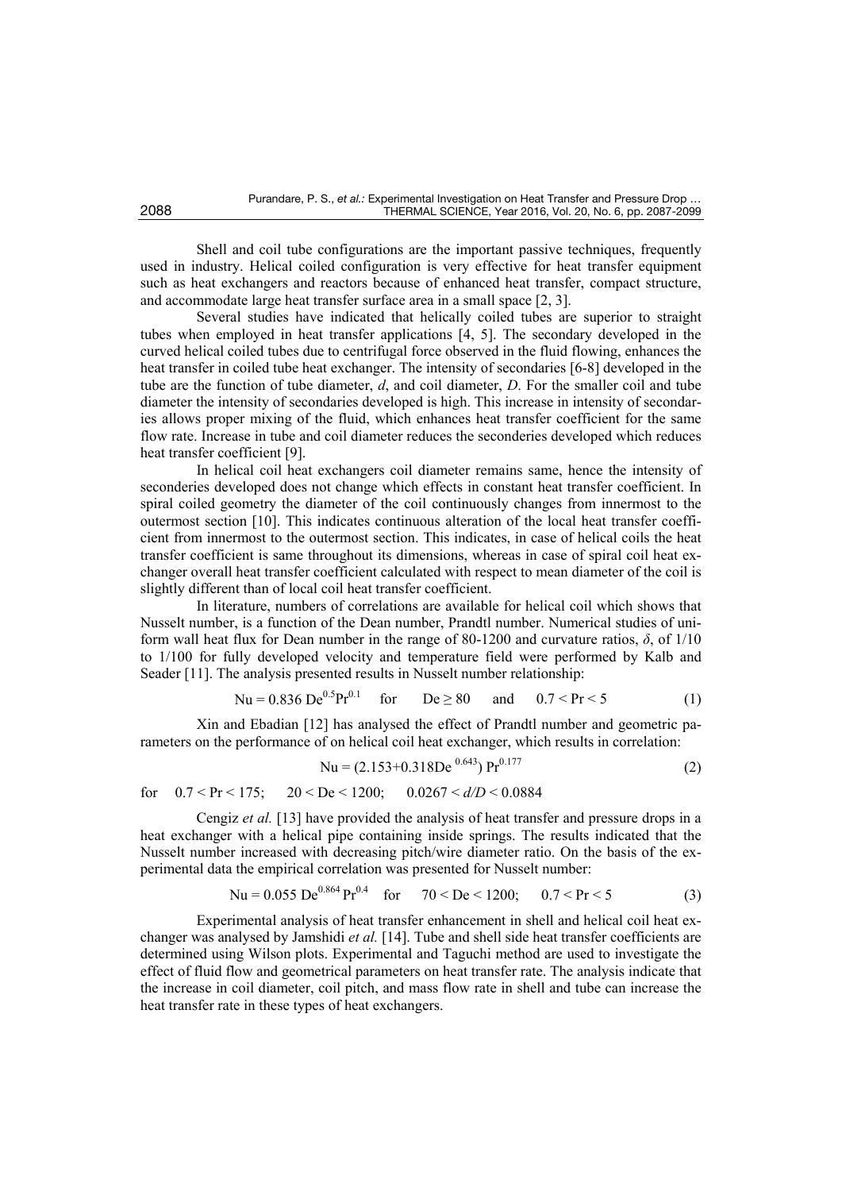Shell and coil tube configurations are the important passive techniques, frequently used in industry. Helical coiled configuration is very effective for heat transfer equipment such as heat exchangers and reactors because of enhanced heat transfer, compact structure, and accommodate large heat transfer surface area in a small space [2, 3].

Several studies have indicated that helically coiled tubes are superior to straight tubes when employed in heat transfer applications [4, 5]. The secondary developed in the curved helical coiled tubes due to centrifugal force observed in the fluid flowing, enhances the heat transfer in coiled tube heat exchanger. The intensity of secondaries [6-8] developed in the tube are the function of tube diameter, *d*, and coil diameter, *D*. For the smaller coil and tube diameter the intensity of secondaries developed is high. This increase in intensity of secondaries allows proper mixing of the fluid, which enhances heat transfer coefficient for the same flow rate. Increase in tube and coil diameter reduces the seconderies developed which reduces heat transfer coefficient [9].

In helical coil heat exchangers coil diameter remains same, hence the intensity of seconderies developed does not change which effects in constant heat transfer coefficient. In spiral coiled geometry the diameter of the coil continuously changes from innermost to the outermost section [10]. This indicates continuous alteration of the local heat transfer coefficient from innermost to the outermost section. This indicates, in case of helical coils the heat transfer coefficient is same throughout its dimensions, whereas in case of spiral coil heat exchanger overall heat transfer coefficient calculated with respect to mean diameter of the coil is slightly different than of local coil heat transfer coefficient.

In literature, numbers of correlations are available for helical coil which shows that Nusselt number, is a function of the Dean number, Prandtl number. Numerical studies of uniform wall heat flux for Dean number in the range of 80-1200 and curvature ratios, *δ*, of 1/10 to 1/100 for fully developed velocity and temperature field were performed by Kalb and Seader [11]. The analysis presented results in Nusselt number relationship:

$$
Nu = 0.836 \text{ De}^{0.5} \text{Pr}^{0.1} \quad \text{for} \quad \text{De} \ge 80 \quad \text{and} \quad 0.7 < \text{Pr} < 5 \tag{1}
$$

Xin and Ebadian [12] has analysed the effect of Prandtl number and geometric parameters on the performance of on helical coil heat exchanger, which results in correlation:

$$
Nu = (2.153 + 0.318De0.643) Pr0.177
$$
 (2)

for  $0.7 < Pr < 175$ ;  $20 < De < 1200$ ;  $0.0267 < d/D < 0.0884$ 

Cengiz *et al.* [13] have provided the analysis of heat transfer and pressure drops in a heat exchanger with a helical pipe containing inside springs. The results indicated that the Nusselt number increased with decreasing pitch/wire diameter ratio. On the basis of the experimental data the empirical correlation was presented for Nusselt number:

$$
Nu = 0.055 \text{ De}^{0.864} \text{Pr}^{0.4} \quad \text{for} \quad 70 < \text{De} < 1200; \quad 0.7 < \text{Pr} < 5 \tag{3}
$$

Experimental analysis of heat transfer enhancement in shell and helical coil heat exchanger was analysed by Jamshidi *et al.* [14]. Tube and shell side heat transfer coefficients are determined using Wilson plots. Experimental and Taguchi method are used to investigate the effect of fluid flow and geometrical parameters on heat transfer rate. The analysis indicate that the increase in coil diameter, coil pitch, and mass flow rate in shell and tube can increase the heat transfer rate in these types of heat exchangers.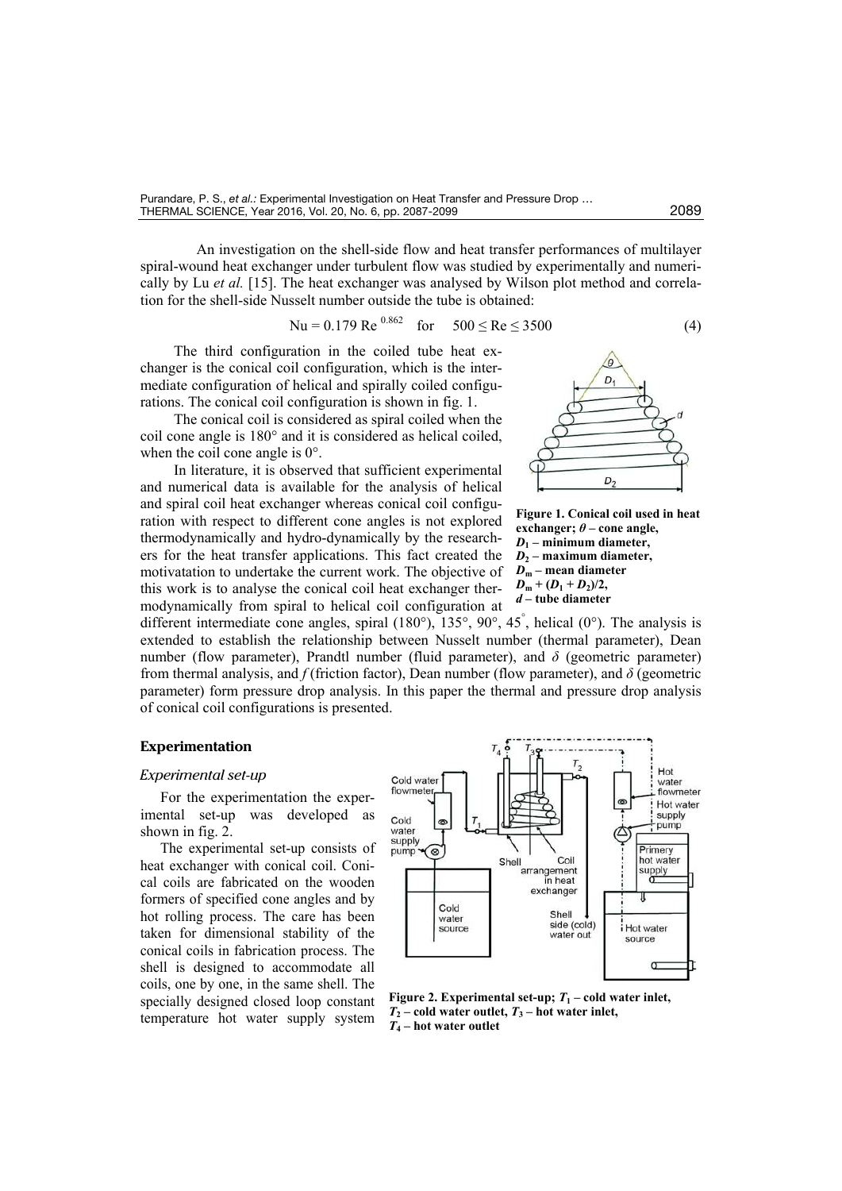An investigation on the shell-side flow and heat transfer performances of multilayer spiral-wound heat exchanger under turbulent flow was studied by experimentally and numerically by Lu *et al.* [15]. The heat exchanger was analysed by Wilson plot method and correlation for the shell-side Nusselt number outside the tube is obtained:

$$
Nu = 0.179 \text{ Re}^{0.862} \quad \text{for} \quad 500 \le \text{Re} \le 3500 \tag{4}
$$

The third configuration in the coiled tube heat exchanger is the conical coil configuration, which is the intermediate configuration of helical and spirally coiled configurations. The conical coil configuration is shown in fig. 1.

The conical coil is considered as spiral coiled when the coil cone angle is 180° and it is considered as helical coiled, when the coil cone angle is 0°.

In literature, it is observed that sufficient experimental and numerical data is available for the analysis of helical and spiral coil heat exchanger whereas conical coil configuration with respect to different cone angles is not explored thermodynamically and hydro-dynamically by the researchers for the heat transfer applications. This fact created the motivatation to undertake the current work. The objective of this work is to analyse the conical coil heat exchanger thermodynamically from spiral to helical coil configuration at



**Figure 1. Conical coil used in heat exchanger;**  $\theta$  – cone angle,  $D_1$  – minimum diameter, *D***2 – maximum diameter,**   $D_m$  – mean diameter  $D_m + (D_1 + D_2)/2$ *d* **– tube diameter**

different intermediate cone angles, spiral (180°), 135°, 90°, 45<sup>°</sup>, helical (0°). The analysis is extended to establish the relationship between Nusselt number (thermal parameter), Dean number (flow parameter), Prandtl number (fluid parameter), and *δ* (geometric parameter) from thermal analysis, and *f* (friction factor), Dean number (flow parameter), and *δ* (geometric parameter) form pressure drop analysis. In this paper the thermal and pressure drop analysis of conical coil configurations is presented.

# **Experimentation**

#### *Experimental set-up*

For the experimentation the experimental set-up was developed as shown in fig. 2.

The experimental set-up consists of heat exchanger with conical coil. Conical coils are fabricated on the wooden formers of specified cone angles and by hot rolling process. The care has been taken for dimensional stability of the conical coils in fabrication process. The shell is designed to accommodate all coils, one by one, in the same shell. The specially designed closed loop constant temperature hot water supply system



**Figure 2. Experimental set-up;**  $T_1$  **– cold water inlet,**  $T_2$  – cold water outlet,  $T_3$  – hot water inlet, *T***4 – hot water outlet**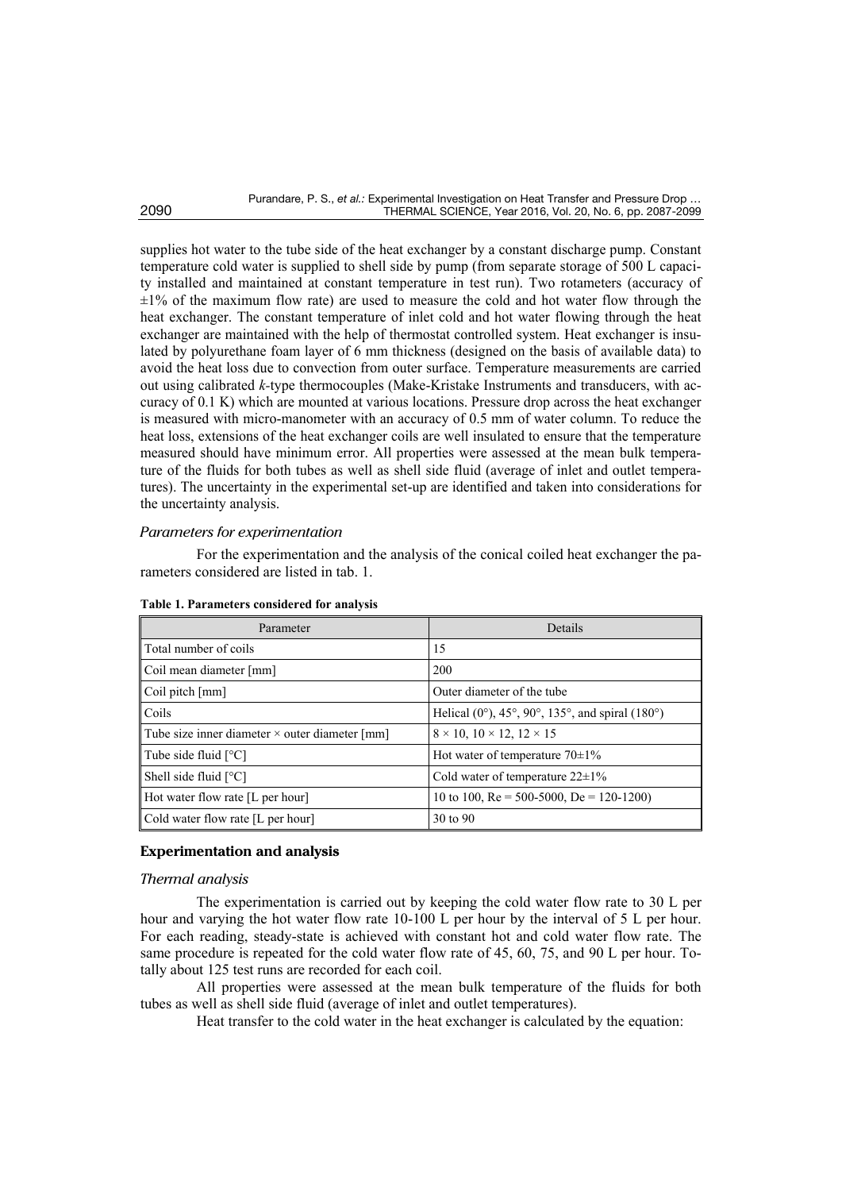supplies hot water to the tube side of the heat exchanger by a constant discharge pump. Constant temperature cold water is supplied to shell side by pump (from separate storage of 500 L capacity installed and maintained at constant temperature in test run). Two rotameters (accuracy of ±1% of the maximum flow rate) are used to measure the cold and hot water flow through the heat exchanger. The constant temperature of inlet cold and hot water flowing through the heat exchanger are maintained with the help of thermostat controlled system. Heat exchanger is insulated by polyurethane foam layer of 6 mm thickness (designed on the basis of available data) to avoid the heat loss due to convection from outer surface. Temperature measurements are carried out using calibrated *k-*type thermocouples (Make-Kristake Instruments and transducers, with accuracy of 0.1 K) which are mounted at various locations. Pressure drop across the heat exchanger is measured with micro-manometer with an accuracy of 0.5 mm of water column. To reduce the heat loss, extensions of the heat exchanger coils are well insulated to ensure that the temperature measured should have minimum error. All properties were assessed at the mean bulk temperature of the fluids for both tubes as well as shell side fluid (average of inlet and outlet temperatures). The uncertainty in the experimental set-up are identified and taken into considerations for the uncertainty analysis.

## *Parameters for experimentation*

For the experimentation and the analysis of the conical coiled heat exchanger the parameters considered are listed in tab. 1.

| Parameter                                      | Details                                         |  |  |
|------------------------------------------------|-------------------------------------------------|--|--|
| Total number of coils                          | 15                                              |  |  |
| Coil mean diameter [mm]                        | 200                                             |  |  |
| $\vert$ Coil pitch $\vert$ mm $\vert$          | Outer diameter of the tube                      |  |  |
| Coils                                          | Helical (0°), 45°, 90°, 135°, and spiral (180°) |  |  |
| Tube size inner diameter × outer diameter [mm] | $8 \times 10$ , $10 \times 12$ , $12 \times 15$ |  |  |
| Tube side fluid $[°C]$                         | Hot water of temperature $70\pm1\%$             |  |  |
| Shell side fluid $[°C]$                        | Cold water of temperature $22\pm1\%$            |  |  |
| Hot water flow rate [L per hour]               | 10 to 100, Re = 500-5000, De = 120-1200)        |  |  |
| Cold water flow rate [L per hour]              | 30 to 90                                        |  |  |

**Table 1. Parameters considered for analysis**

### **Experimentation and analysis**

#### *Thermal analysis*

The experimentation is carried out by keeping the cold water flow rate to 30 L per hour and varying the hot water flow rate 10-100 L per hour by the interval of 5 L per hour. For each reading, steady-state is achieved with constant hot and cold water flow rate. The same procedure is repeated for the cold water flow rate of 45, 60, 75, and 90 L per hour. Totally about 125 test runs are recorded for each coil.

All properties were assessed at the mean bulk temperature of the fluids for both tubes as well as shell side fluid (average of inlet and outlet temperatures).

Heat transfer to the cold water in the heat exchanger is calculated by the equation: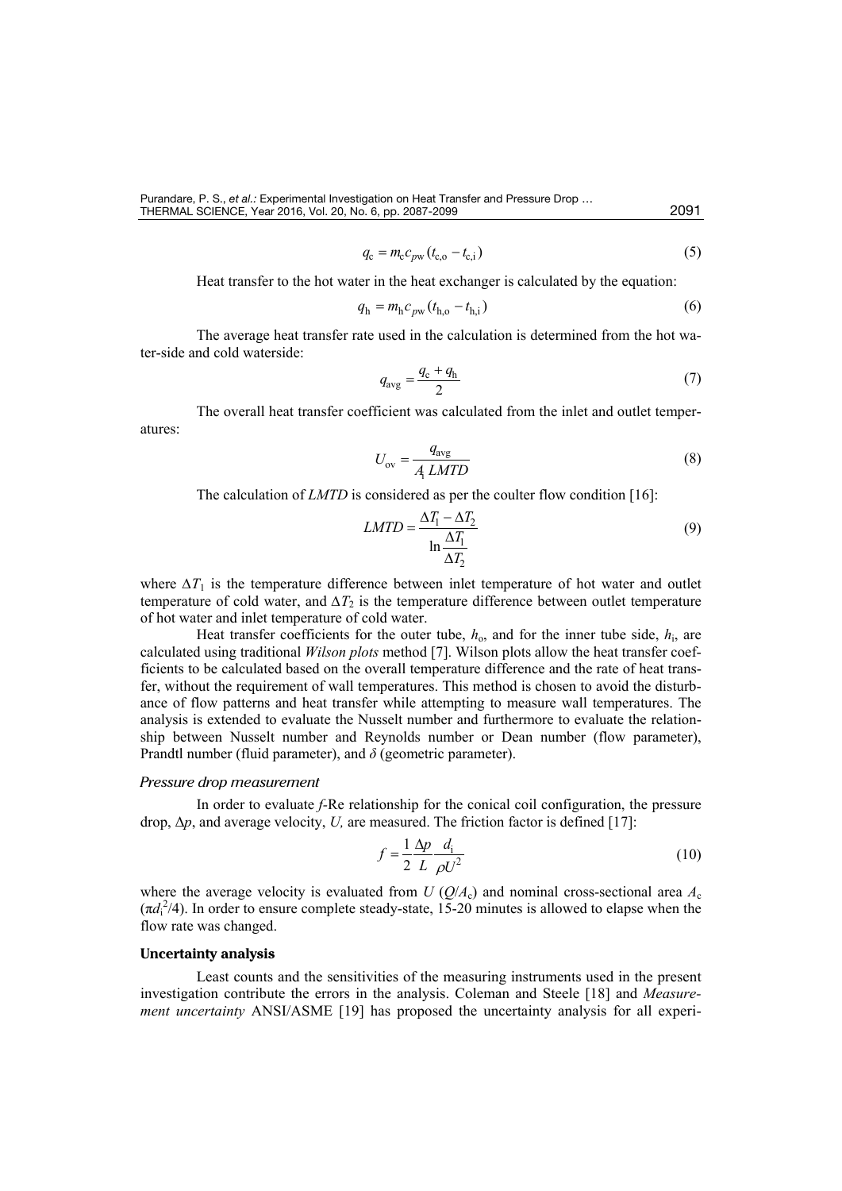$$
q_{\rm c} = m_{\rm c} c_{\rm pw} (t_{\rm c,o} - t_{\rm c,i})
$$
\n(5)

Heat transfer to the hot water in the heat exchanger is calculated by the equation:

$$
q_{\rm h} = m_{\rm h} c_{\rm pw} (t_{\rm h,o} - t_{\rm h,i})
$$
 (6)

The average heat transfer rate used in the calculation is determined from the hot water-side and cold waterside:

$$
q_{\text{avg}} = \frac{q_{\text{c}} + q_{\text{h}}}{2} \tag{7}
$$

The overall heat transfer coefficient was calculated from the inlet and outlet temperatures:

$$
U_{\rm ov} = \frac{q_{\rm avg}}{A_{\rm i} \, LMTD} \tag{8}
$$

The calculation of *LMTD* is considered as per the coulter flow condition [16]:

$$
LMTD = \frac{\Delta T_1 - \Delta T_2}{\ln \frac{\Delta T_1}{\Delta T_2}}
$$
\n(9)

where  $\Delta T_1$  is the temperature difference between inlet temperature of hot water and outlet temperature of cold water, and  $\Delta T_2$  is the temperature difference between outlet temperature of hot water and inlet temperature of cold water.

Heat transfer coefficients for the outer tube,  $h_0$ , and for the inner tube side,  $h_i$ , are calculated using traditional *Wilson plots* method [7]. Wilson plots allow the heat transfer coefficients to be calculated based on the overall temperature difference and the rate of heat transfer, without the requirement of wall temperatures. This method is chosen to avoid the disturbance of flow patterns and heat transfer while attempting to measure wall temperatures. The analysis is extended to evaluate the Nusselt number and furthermore to evaluate the relationship between Nusselt number and Reynolds number or Dean number (flow parameter), Prandtl number (fluid parameter), and *δ* (geometric parameter).

#### *Pressure drop measurement*

In order to evaluate *f-*Re relationship for the conical coil configuration, the pressure drop, Δ*p*, and average velocity, *U,* are measured. The friction factor is defined [17]:

$$
f = \frac{1}{2} \frac{\Delta p}{L} \frac{d_i}{\rho U^2}
$$
 (10)

where the average velocity is evaluated from *U* ( $O/A_c$ ) and nominal cross-sectional area  $A_c$  $(\pi d_1^2/4)$ . In order to ensure complete steady-state, 15-20 minutes is allowed to elapse when the flow rate was changed.

#### **Uncertainty analysis**

Least counts and the sensitivities of the measuring instruments used in the present investigation contribute the errors in the analysis. Coleman and Steele [18] and *Measurement uncertainty* ANSI/ASME [19] has proposed the uncertainty analysis for all experi-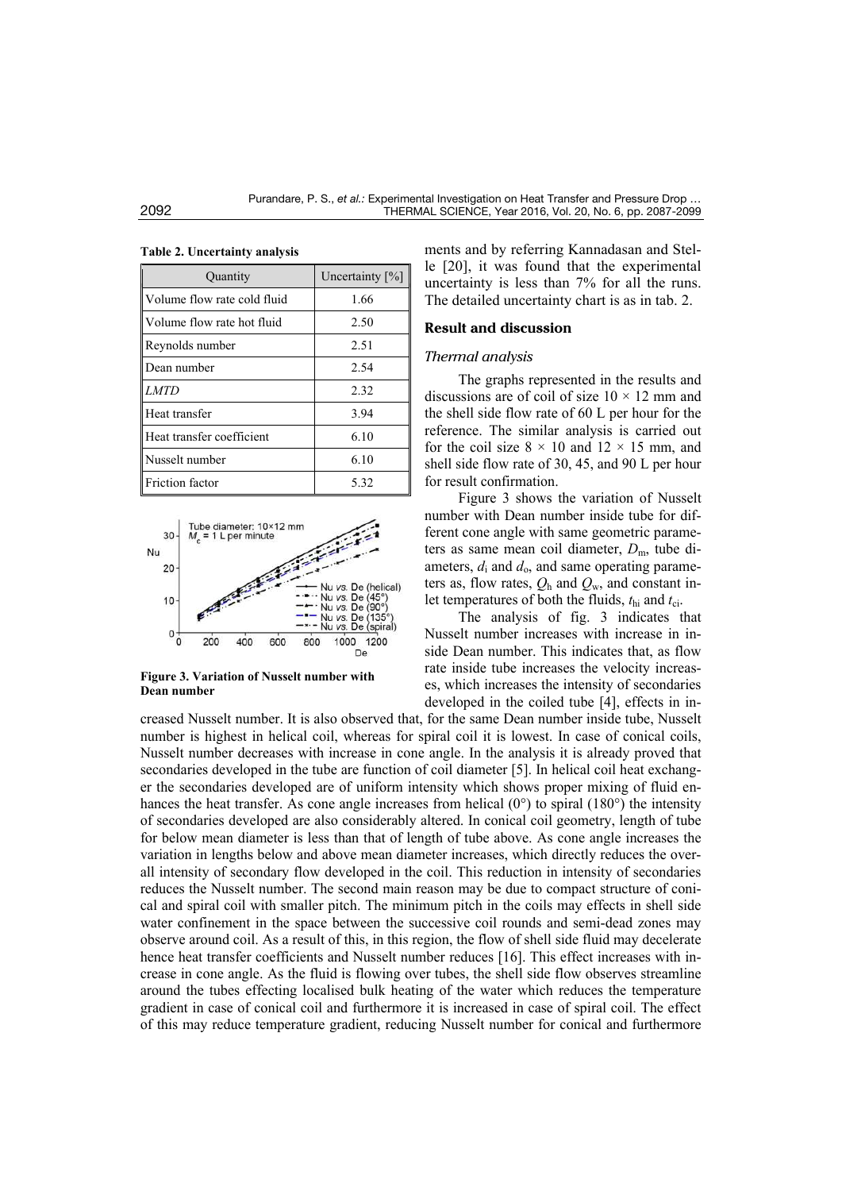| Quantity                    | Uncertainty $[\%]$ |  |  |  |
|-----------------------------|--------------------|--|--|--|
| Volume flow rate cold fluid | 1.66               |  |  |  |
| Volume flow rate hot fluid  | 2.50               |  |  |  |
| Reynolds number             | 2.51               |  |  |  |
| Dean number                 | 2.54               |  |  |  |
| <b>LMTD</b>                 | 2.32               |  |  |  |
| Heat transfer               | 3.94               |  |  |  |
| Heat transfer coefficient   | 6.10               |  |  |  |
| Nusselt number              | 6.10               |  |  |  |
| Friction factor             | 5.32               |  |  |  |

**Table 2. Uncertainty analysis**



**Figure 3. Variation of Nusselt number with Dean number**

ments and by referring Kannadasan and Stelle [20], it was found that the experimental uncertainty is less than 7% for all the runs. The detailed uncertainty chart is as in tab. 2.

#### **Result and discussion**

#### *Thermal analysis*

The graphs represented in the results and discussions are of coil of size  $10 \times 12$  mm and the shell side flow rate of 60 L per hour for the reference. The similar analysis is carried out for the coil size  $8 \times 10$  and  $12 \times 15$  mm, and shell side flow rate of 30, 45, and 90 L per hour for result confirmation.

Figure 3 shows the variation of Nusselt number with Dean number inside tube for different cone angle with same geometric parameters as same mean coil diameter,  $D_m$ , tube diameters,  $d_i$  and  $d_o$ , and same operating parameters as, flow rates,  $Q_h$  and  $Q_w$ , and constant inlet temperatures of both the fluids,  $t_{hi}$  and  $t_{ci}$ .

The analysis of fig. 3 indicates that Nusselt number increases with increase in inside Dean number. This indicates that, as flow rate inside tube increases the velocity increases, which increases the intensity of secondaries developed in the coiled tube [4], effects in in-

creased Nusselt number. It is also observed that, for the same Dean number inside tube, Nusselt number is highest in helical coil, whereas for spiral coil it is lowest. In case of conical coils, Nusselt number decreases with increase in cone angle. In the analysis it is already proved that secondaries developed in the tube are function of coil diameter [5]. In helical coil heat exchanger the secondaries developed are of uniform intensity which shows proper mixing of fluid enhances the heat transfer. As cone angle increases from helical  $(0^{\circ})$  to spiral  $(180^{\circ})$  the intensity of secondaries developed are also considerably altered. In conical coil geometry, length of tube for below mean diameter is less than that of length of tube above. As cone angle increases the variation in lengths below and above mean diameter increases, which directly reduces the overall intensity of secondary flow developed in the coil. This reduction in intensity of secondaries reduces the Nusselt number. The second main reason may be due to compact structure of conical and spiral coil with smaller pitch. The minimum pitch in the coils may effects in shell side water confinement in the space between the successive coil rounds and semi-dead zones may observe around coil. As a result of this, in this region, the flow of shell side fluid may decelerate hence heat transfer coefficients and Nusselt number reduces [16]. This effect increases with increase in cone angle. As the fluid is flowing over tubes, the shell side flow observes streamline around the tubes effecting localised bulk heating of the water which reduces the temperature gradient in case of conical coil and furthermore it is increased in case of spiral coil. The effect of this may reduce temperature gradient, reducing Nusselt number for conical and furthermore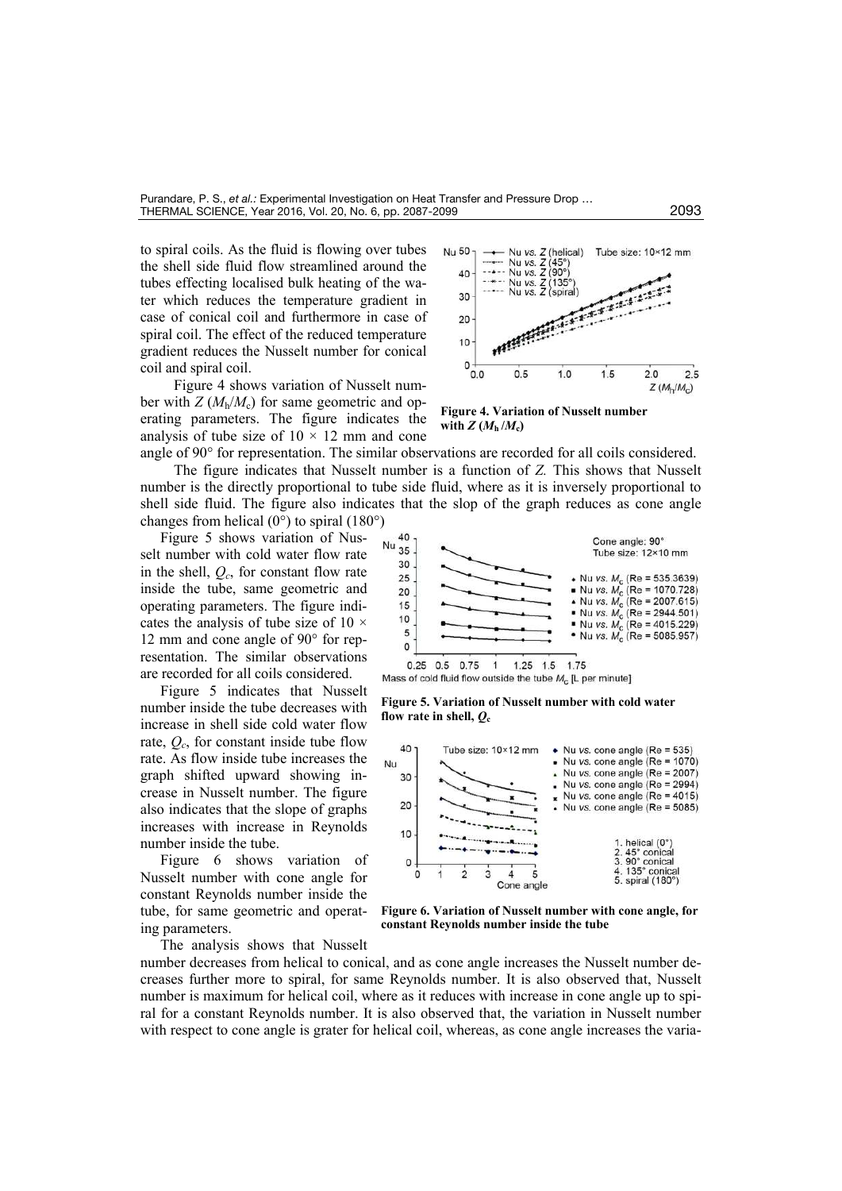to spiral coils. As the fluid is flowing over tubes the shell side fluid flow streamlined around the tubes effecting localised bulk heating of the water which reduces the temperature gradient in case of conical coil and furthermore in case of spiral coil. The effect of the reduced temperature gradient reduces the Nusselt number for conical coil and spiral coil.

Figure 4 shows variation of Nusselt number with  $Z(M_h/M_c)$  for same geometric and operating parameters. The figure indicates the analysis of tube size of  $10 \times 12$  mm and cone angle of 90° for representation. The similar observations are recorded for all coils considered.

The figure indicates that Nusselt number is a function of *Z.* This shows that Nusselt number is the directly proportional to tube side fluid, where as it is inversely proportional to shell side fluid. The figure also indicates that the slop of the graph reduces as cone angle changes from helical  $(0^{\circ})$  to spiral  $(180^{\circ})$ 

Figure 5 shows variation of Nusselt number with cold water flow rate in the shell, *Qc*, for constant flow rate inside the tube, same geometric and operating parameters. The figure indicates the analysis of tube size of 10 × 12 mm and cone angle of 90° for representation. The similar observations are recorded for all coils considered.

Figure 5 indicates that Nusselt number inside the tube decreases with increase in shell side cold water flow rate,  $Q_c$ , for constant inside tube flow rate. As flow inside tube increases the graph shifted upward showing increase in Nusselt number. The figure also indicates that the slope of graphs increases with increase in Reynolds number inside the tube.

Figure 6 shows variation of Nusselt number with cone angle for constant Reynolds number inside the tube, for same geometric and operating parameters.

The analysis shows that Nusselt



**Figure 4. Variation of Nusselt number**  with  $Z(M_h/M_c)$ 



**Figure 5. Variation of Nusselt number with cold water**  flow rate in shell,  $Q_c$ 



**Figure 6. Variation of Nusselt number with cone angle, for constant Reynolds number inside the tube**

number decreases from helical to conical, and as cone angle increases the Nusselt number decreases further more to spiral, for same Reynolds number. It is also observed that, Nusselt number is maximum for helical coil, where as it reduces with increase in cone angle up to spiral for a constant Reynolds number. It is also observed that, the variation in Nusselt number with respect to cone angle is grater for helical coil, whereas, as cone angle increases the varia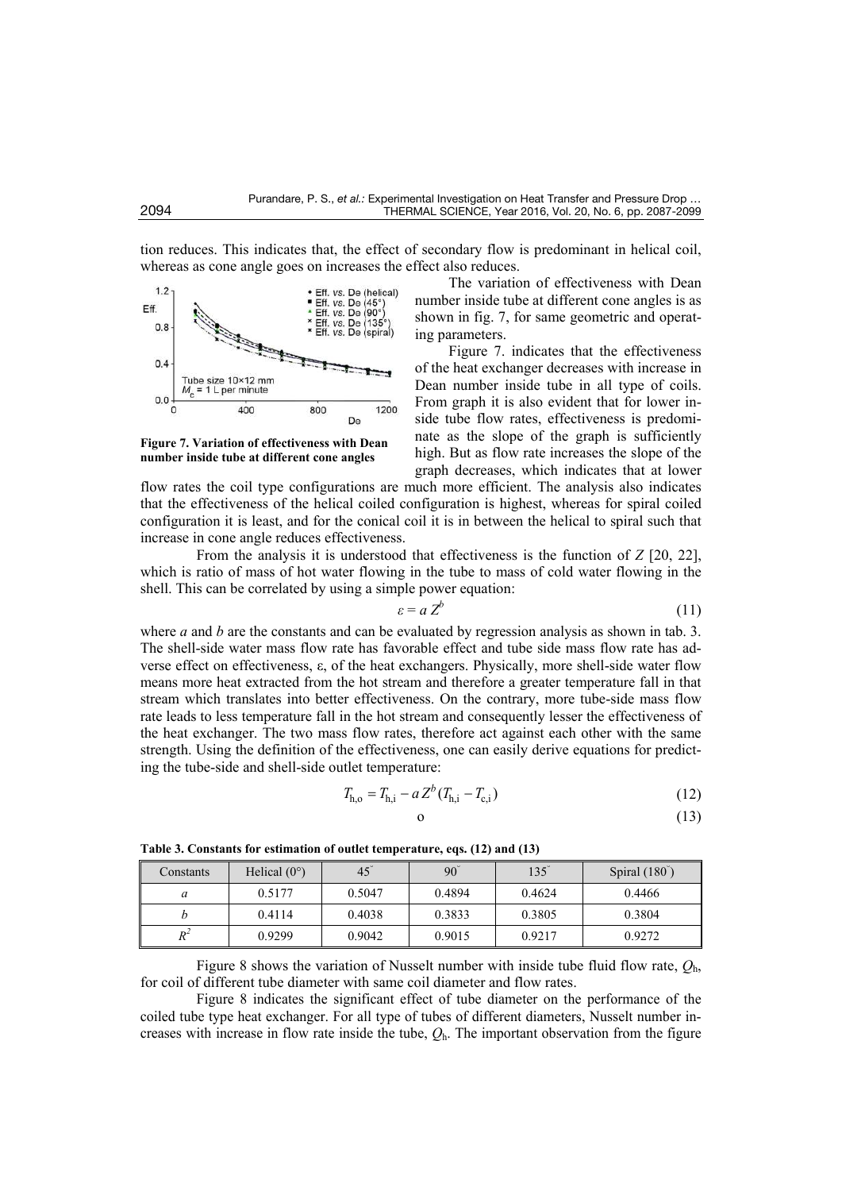tion reduces. This indicates that, the effect of secondary flow is predominant in helical coil, whereas as cone angle goes on increases the effect also reduces.



**Figure 7. Variation of effectiveness with Dean number inside tube at different cone angles**

The variation of effectiveness with Dean number inside tube at different cone angles is as shown in fig. 7, for same geometric and operating parameters.

Figure 7. indicates that the effectiveness of the heat exchanger decreases with increase in Dean number inside tube in all type of coils. From graph it is also evident that for lower inside tube flow rates, effectiveness is predominate as the slope of the graph is sufficiently high. But as flow rate increases the slope of the graph decreases, which indicates that at lower

flow rates the coil type configurations are much more efficient. The analysis also indicates that the effectiveness of the helical coiled configuration is highest, whereas for spiral coiled configuration it is least, and for the conical coil it is in between the helical to spiral such that increase in cone angle reduces effectiveness.

From the analysis it is understood that effectiveness is the function of *Z* [20, 22], which is ratio of mass of hot water flowing in the tube to mass of cold water flowing in the shell. This can be correlated by using a simple power equation:

$$
\varepsilon = a Z^b \tag{11}
$$

where *a* and *b* are the constants and can be evaluated by regression analysis as shown in tab. 3. The shell-side water mass flow rate has favorable effect and tube side mass flow rate has adverse effect on effectiveness, ε, of the heat exchangers. Physically, more shell-side water flow means more heat extracted from the hot stream and therefore a greater temperature fall in that stream which translates into better effectiveness. On the contrary, more tube-side mass flow rate leads to less temperature fall in the hot stream and consequently lesser the effectiveness of the heat exchanger. The two mass flow rates, therefore act against each other with the same strength. Using the definition of the effectiveness, one can easily derive equations for predicting the tube-side and shell-side outlet temperature:

$$
T_{\rm h,o} = T_{\rm h,i} - a Z^b (T_{\rm h,i} - T_{\rm c,i})
$$
\n(12)

$$
0 \tag{13}
$$

| Constants | Helical $(0^{\circ})$ | $45^\circ$ | $90^\circ$ | $135^\circ$ | Spiral $(180^\circ)$ |
|-----------|-----------------------|------------|------------|-------------|----------------------|
| a         | 0.5177                | 0.5047     | 0.4894     | 0.4624      | 0.4466               |
|           | 0.4114                | 0.4038     | 0.3833     | 0.3805      | 0.3804               |
| $R^2$     | 0.9299                | 0.9042     | 0.9015     | 0.9217      | 0.9272               |

**Table 3. Constants for estimation of outlet temperature, eqs. (12) and (13)** 

Figure 8 shows the variation of Nusselt number with inside tube fluid flow rate, *Q*h, for coil of different tube diameter with same coil diameter and flow rates.

Figure 8 indicates the significant effect of tube diameter on the performance of the coiled tube type heat exchanger. For all type of tubes of different diameters, Nusselt number increases with increase in flow rate inside the tube, *Q*h. The important observation from the figure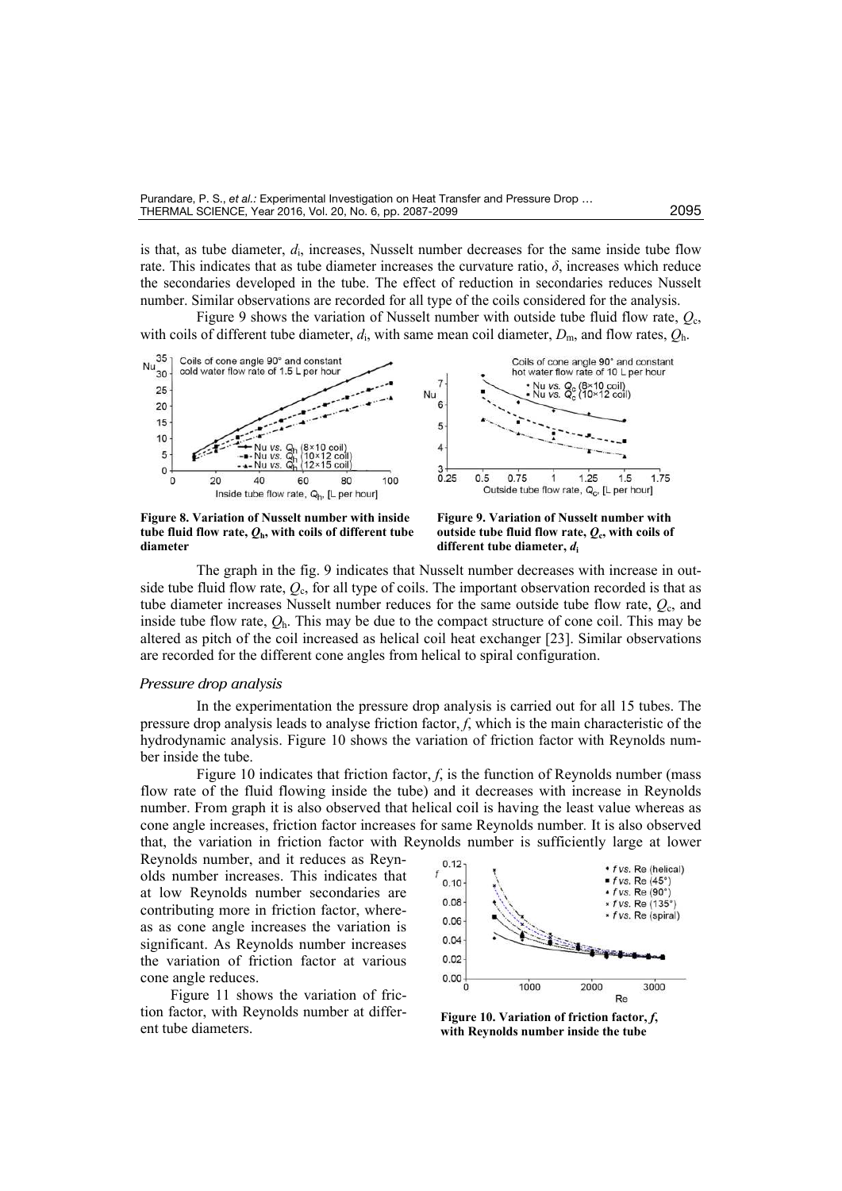is that, as tube diameter, *d*<sup>i</sup> , increases, Nusselt number decreases for the same inside tube flow rate. This indicates that as tube diameter increases the curvature ratio,  $\delta$ , increases which reduce the secondaries developed in the tube. The effect of reduction in secondaries reduces Nusselt number. Similar observations are recorded for all type of the coils considered for the analysis.

Figure 9 shows the variation of Nusselt number with outside tube fluid flow rate, *Q*c, with coils of different tube diameter,  $d_i$ , with same mean coil diameter,  $D_m$ , and flow rates,  $Q_h$ .



**Figure 8. Variation of Nusselt number with inside**  tube fluid flow rate,  $Q_h$ , with coils of different tube **diameter**

**Figure 9. Variation of Nusselt number with**  outside tube fluid flow rate,  $Q_c$ , with coils of **different tube diameter,** *d***<sup>i</sup>**

The graph in the fig. 9 indicates that Nusselt number decreases with increase in outside tube fluid flow rate, *Q*c, for all type of coils. The important observation recorded is that as tube diameter increases Nusselt number reduces for the same outside tube flow rate, *Q*c, and inside tube flow rate,  $Q_h$ . This may be due to the compact structure of cone coil. This may be altered as pitch of the coil increased as helical coil heat exchanger [23]. Similar observations are recorded for the different cone angles from helical to spiral configuration.

#### *Pressure drop analysis*

In the experimentation the pressure drop analysis is carried out for all 15 tubes. The pressure drop analysis leads to analyse friction factor, *f*, which is the main characteristic of the hydrodynamic analysis. Figure 10 shows the variation of friction factor with Reynolds number inside the tube.

Figure 10 indicates that friction factor, *f*, is the function of Reynolds number (mass flow rate of the fluid flowing inside the tube) and it decreases with increase in Reynolds number. From graph it is also observed that helical coil is having the least value whereas as cone angle increases, friction factor increases for same Reynolds number*.* It is also observed that, the variation in friction factor with Reynolds number is sufficiently large at lower

Reynolds number, and it reduces as Reynolds number increases. This indicates that at low Reynolds number secondaries are contributing more in friction factor, whereas as cone angle increases the variation is significant. As Reynolds number increases the variation of friction factor at various cone angle reduces.

Figure 11 shows the variation of friction factor, with Reynolds number at different tube diameters.



**Figure 10. Variation of friction factor,** *f***, with Reynolds number inside the tube**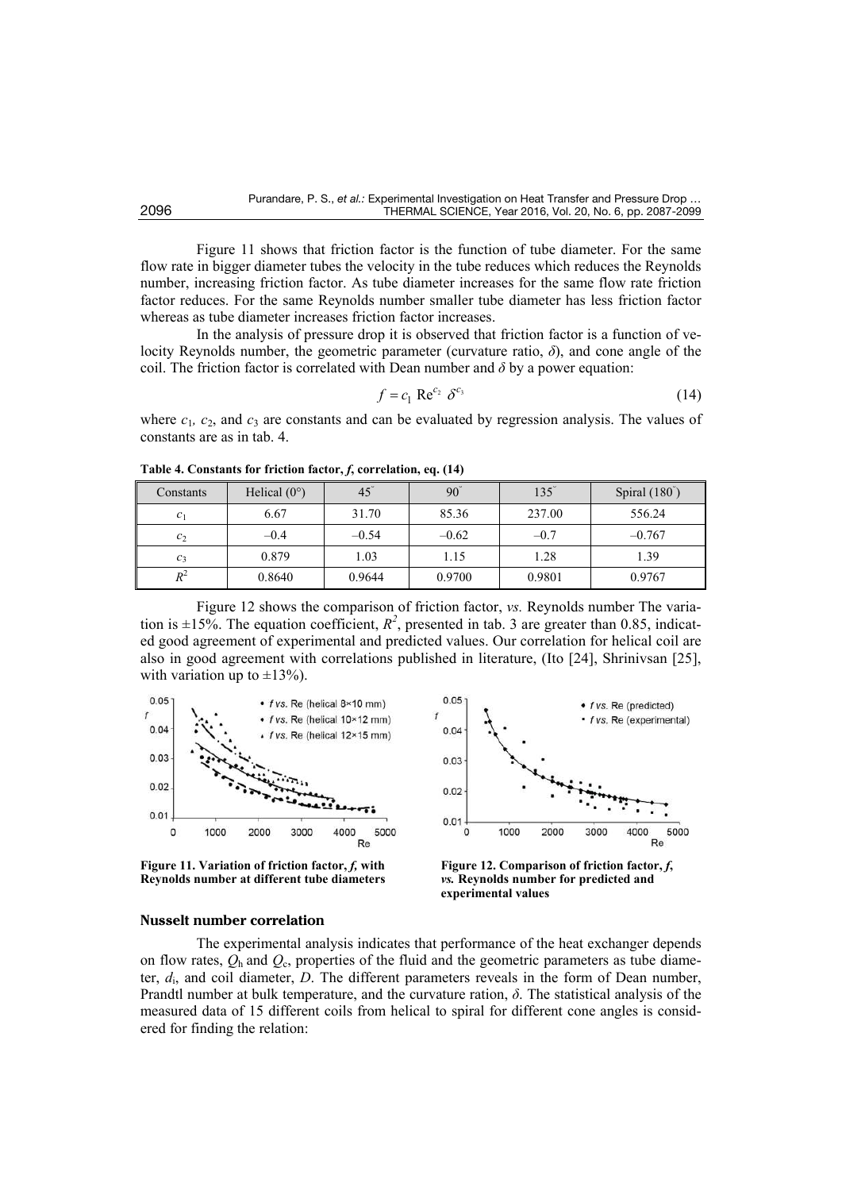Figure 11 shows that friction factor is the function of tube diameter. For the same flow rate in bigger diameter tubes the velocity in the tube reduces which reduces the Reynolds number, increasing friction factor. As tube diameter increases for the same flow rate friction factor reduces. For the same Reynolds number smaller tube diameter has less friction factor whereas as tube diameter increases friction factor increases.

In the analysis of pressure drop it is observed that friction factor is a function of velocity Reynolds number, the geometric parameter (curvature ratio, *δ*), and cone angle of the coil. The friction factor is correlated with Dean number and  $\delta$  by a power equation:

$$
f = c_1 \operatorname{Re}^{c_2} \delta^{c_3} \tag{14}
$$

where  $c_1$ ,  $c_2$ , and  $c_3$  are constants and can be evaluated by regression analysis. The values of constants are as in tab. 4.

| Constants      | Helical $(0^{\circ})$ | $45^\circ$ | $90^\circ$ | $135^\circ$ | Spiral $(180^\circ)$ |
|----------------|-----------------------|------------|------------|-------------|----------------------|
| c <sub>1</sub> | 6.67                  | 31.70      | 85.36      | 237.00      | 556.24               |
| $c_2$          | $-0.4$                | $-0.54$    | $-0.62$    | $-0.7$      | $-0.767$             |
| $c_3$          | 0.879                 | 1.03       | 1.15       | 1.28        | 1.39                 |
| $R^2$          | 0.8640                | 0.9644     | 0.9700     | 0.9801      | 0.9767               |

**Table 4. Constants for friction factor,** *f***, correlation, eq. (14)** 

Figure 12 shows the comparison of friction factor, *vs.* Reynolds number The variation is  $\pm 15\%$ . The equation coefficient,  $R^2$ , presented in tab. 3 are greater than 0.85, indicated good agreement of experimental and predicted values. Our correlation for helical coil are also in good agreement with correlations published in literature, (Ito [24], Shrinivsan [25], with variation up to  $\pm 13\%$ ).



**Figure 11. Variation of friction factor,** *f,* **with Reynolds number at different tube diameters**



**Figure 12. Comparison of friction factor,** *f***,**  *vs.* **Reynolds number for predicted and experimental values**

#### **Nusselt number correlation**

The experimental analysis indicates that performance of the heat exchanger depends on flow rates,  $Q_h$  and  $Q_c$ , properties of the fluid and the geometric parameters as tube diameter, *d*<sup>i</sup> , and coil diameter, *D*. The different parameters reveals in the form of Dean number, Prandtl number at bulk temperature, and the curvature ration,  $\delta$ . The statistical analysis of the measured data of 15 different coils from helical to spiral for different cone angles is considered for finding the relation: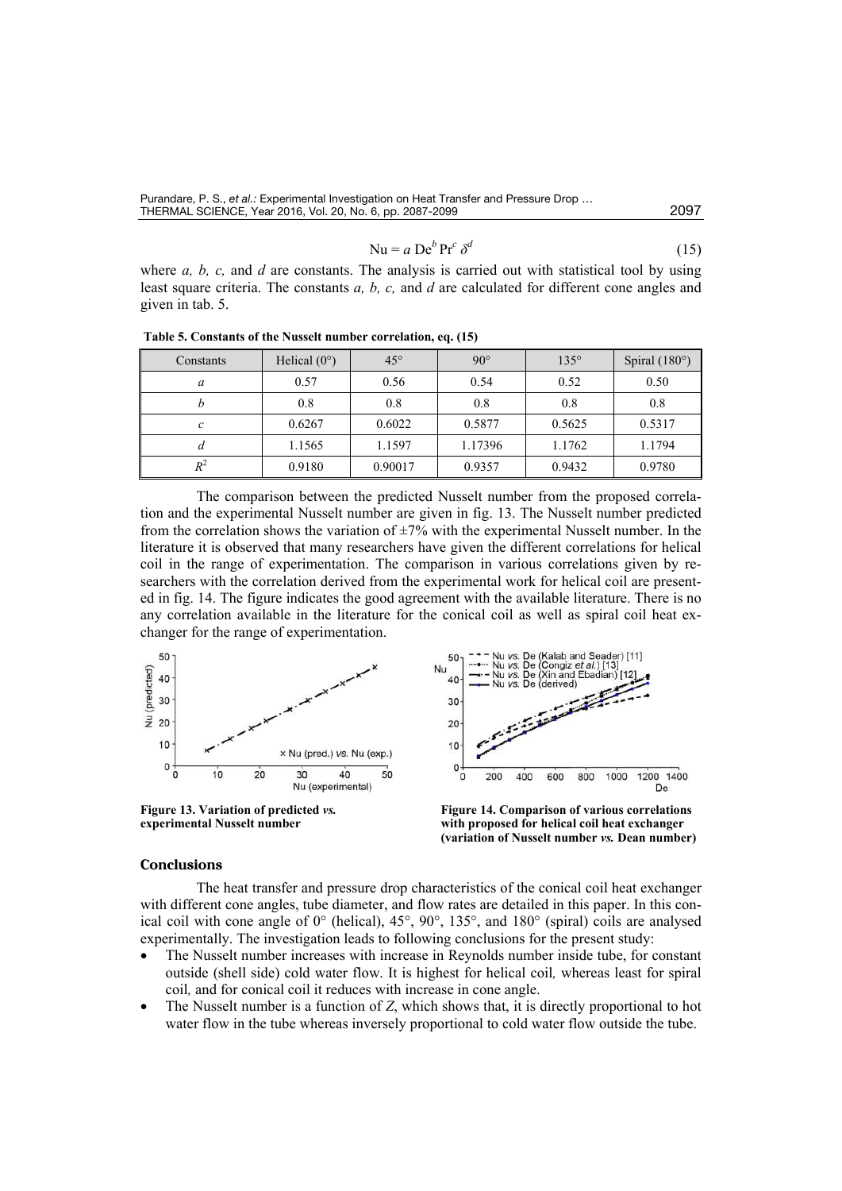Purandare, P. S., *et al.:* Experimental Investigation on Heat Transfer and Pressure Drop … THERMAL SCIENCE, Year 2016, Vol. 20, No. 6, pp. 2087-2099 2097

$$
Nu = a Deb Prc \deltad
$$
 (15)

where *a*, *b*, *c*, and *d* are constants. The analysis is carried out with statistical tool by using least square criteria. The constants *a, b, c,* and *d* are calculated for different cone angles and given in tab. 5.

**Table 5. Constants of the Nusselt number correlation, eq. (15)** 

| Constants | Helical $(0^{\circ})$ | $45^{\circ}$ | $90^\circ$ | $135^\circ$ | Spiral $(180^\circ)$ |
|-----------|-----------------------|--------------|------------|-------------|----------------------|
| a         | 0.57                  | 0.56         | 0.54       | 0.52        | 0.50                 |
|           | 0.8                   | 0.8          | 0.8        | 0.8         | 0.8                  |
| c         | 0.6267                | 0.6022       | 0.5877     | 0.5625      | 0.5317               |
| а         | 1.1565                | 1.1597       | 1.17396    | 1.1762      | 1.1794               |
| $R^2$     | 0.9180                | 0.90017      | 0.9357     | 0.9432      | 0.9780               |

The comparison between the predicted Nusselt number from the proposed correlation and the experimental Nusselt number are given in fig. 13. The Nusselt number predicted from the correlation shows the variation of  $\pm 7\%$  with the experimental Nusselt number. In the literature it is observed that many researchers have given the different correlations for helical coil in the range of experimentation. The comparison in various correlations given by researchers with the correlation derived from the experimental work for helical coil are presented in fig. 14. The figure indicates the good agreement with the available literature. There is no any correlation available in the literature for the conical coil as well as spiral coil heat exchanger for the range of experimentation.



#### **Conclusions**

The heat transfer and pressure drop characteristics of the conical coil heat exchanger with different cone angles, tube diameter, and flow rates are detailed in this paper. In this conical coil with cone angle of 0° (helical), 45°, 90°, 135°, and 180° (spiral) coils are analysed experimentally. The investigation leads to following conclusions for the present study:

- The Nusselt number increases with increase in Reynolds number inside tube, for constant outside (shell side) cold water flow. It is highest for helical coil*,* whereas least for spiral coil*,* and for conical coil it reduces with increase in cone angle.
- The Nusselt number is a function of *Z*, which shows that, it is directly proportional to hot water flow in the tube whereas inversely proportional to cold water flow outside the tube.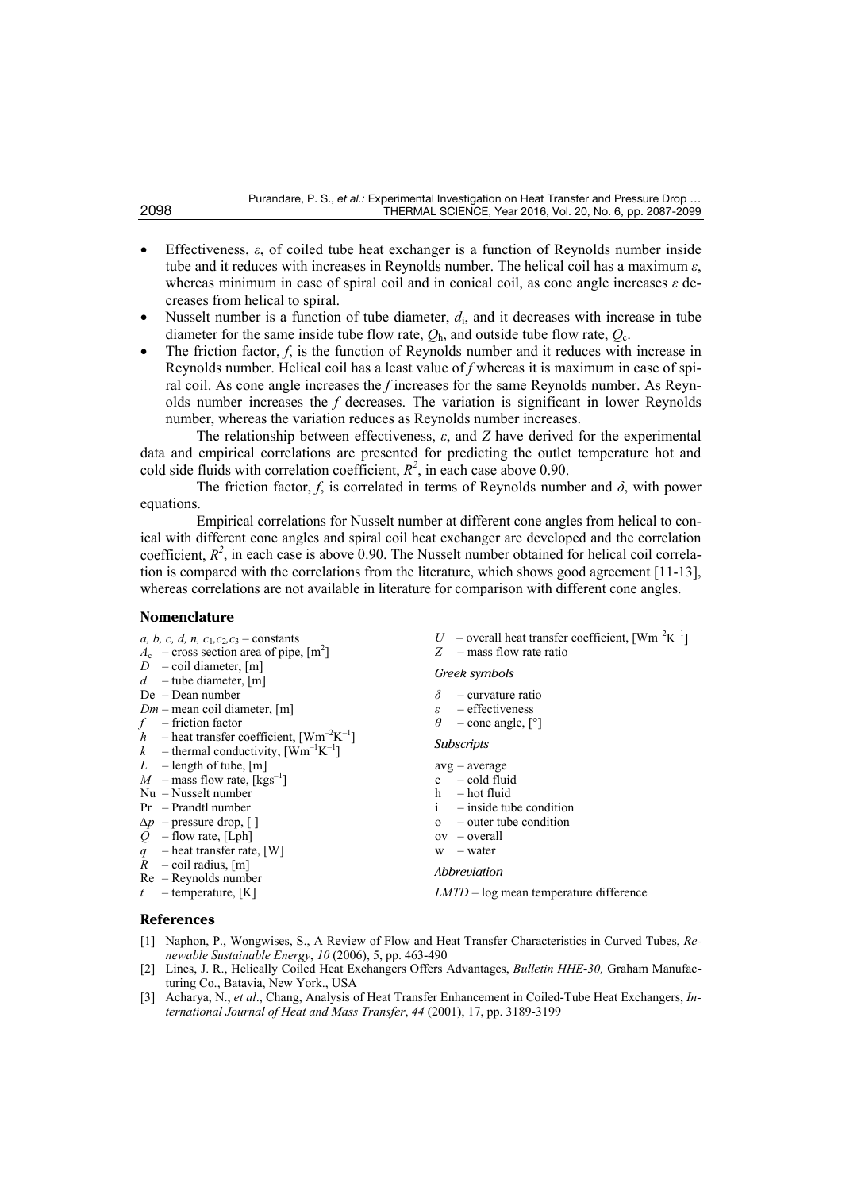- Effectiveness, *ε*, of coiled tube heat exchanger is a function of Reynolds number inside tube and it reduces with increases in Reynolds number. The helical coil has a maximum *ε*, whereas minimum in case of spiral coil and in conical coil, as cone angle increases *ε* decreases from helical to spiral.
- Nusselt number is a function of tube diameter,  $d_i$ , and it decreases with increase in tube diameter for the same inside tube flow rate,  $Q_h$ , and outside tube flow rate,  $Q_c$ .
- The friction factor, *f*, is the function of Reynolds number and it reduces with increase in Reynolds number. Helical coil has a least value of *f* whereas it is maximum in case of spiral coil. As cone angle increases the *f* increases for the same Reynolds number. As Reynolds number increases the *f* decreases. The variation is significant in lower Reynolds number, whereas the variation reduces as Reynolds number increases.

The relationship between effectiveness, *ε*, and *Z* have derived for the experimental data and empirical correlations are presented for predicting the outlet temperature hot and cold side fluids with correlation coefficient,  $R^2$ , in each case above 0.90.

The friction factor,  $f$ , is correlated in terms of Reynolds number and  $\delta$ , with power equations.

Empirical correlations for Nusselt number at different cone angles from helical to conical with different cone angles and spiral coil heat exchanger are developed and the correlation coefficient,  $R^2$ , in each case is above 0.90. The Nusselt number obtained for helical coil correlation is compared with the correlations from the literature, which shows good agreement [11-13], whereas correlations are not available in literature for comparison with different cone angles.

#### **Nomenclature**

- *a, b, c, d, n, c*<sub>1</sub>, *c*<sub>2</sub>, *c*<sub>3</sub> constants  $A_c$  – cross section area of pipe,  $[m^2]$  $D$  – coil diameter, [m] *d* – tube diameter, [m] De – Dean number *Dm* – mean coil diameter, [m] *f –* friction factor  $h$  – heat transfer coefficient,  $[\text{Wm}^{-2}\text{K}^{-1}]$  $k$  – thermal conductivity,  $[\text{Wm}^{-1}\text{K}^{-1}]$ *L* – length of tube, [m]  $M$  – mass flow rate,  $[kgs^{-1}]$ Nu – Nusselt number Pr – Prandtl number *∆p* – pressure drop, [ ] *Q –* flow rate, [Lph] *q* – heat transfer rate, [W]  $R$  – coil radius, [m] Re – Reynolds number  $t$  – temperature, [K]  $U$  – overall heat transfer coefficient,  $[{\rm Wm}^{-2}{\rm K}^{-1}]$ *Z* – mass flow rate ratio *Greek symbols δ* – curvature ratio  $\varepsilon$  – effectiveness<br> $\theta$  – cone angle. [1] *θ* – cone angle, [°] *Subscripts*  avg – average c – cold fluid h – hot fluid i – inside tube condition o – outer tube condition ov – overall  $w = water$ *Abbreviation LMTD* – log mean temperature difference **References**
- [1] Naphon, P., Wongwises, S., A Review of Flow and Heat Transfer Characteristics in Curved Tubes, *Renewable Sustainable Energy*, *10* (2006), 5, pp. 463-490
- [2] Lines, J. R., Helically Coiled Heat Exchangers Offers Advantages, *Bulletin HHE-30,* Graham Manufacturing Co., Batavia, New York., USA
- [3] Acharya, N., *et al*., Chang, Analysis of Heat Transfer Enhancement in Coiled-Tube Heat Exchangers, *International Journal of Heat and Mass Transfer*, *44* (2001), 17, pp. 3189-3199